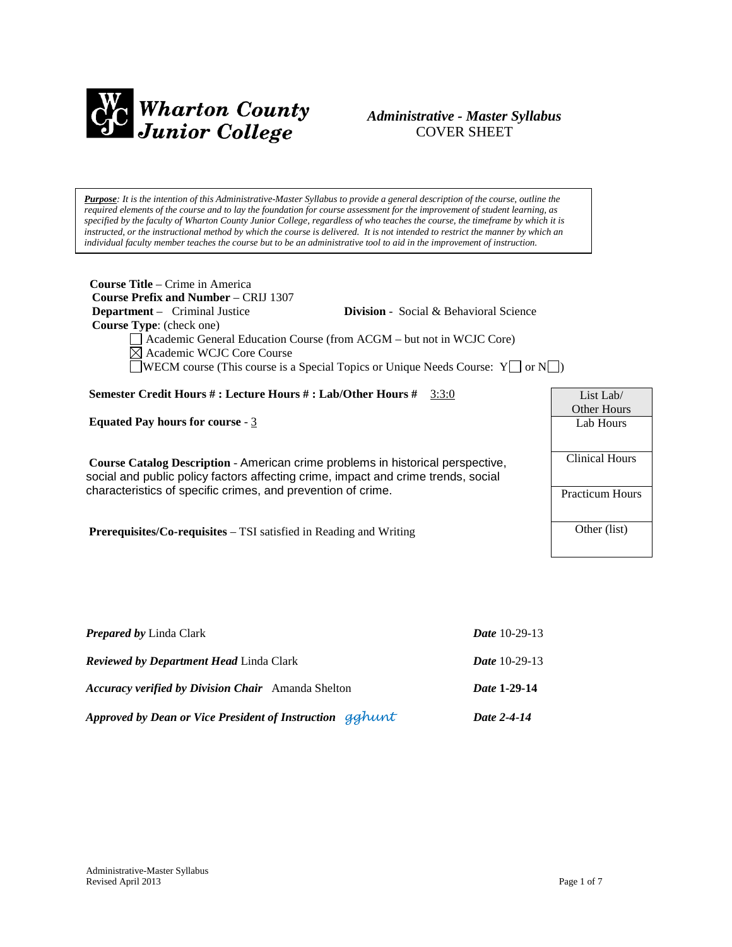

### *Administrative - Master Syllabus*  COVER SHEET

*Purpose: It is the intention of this Administrative-Master Syllabus to provide a general description of the course, outline the required elements of the course and to lay the foundation for course assessment for the improvement of student learning, as specified by the faculty of Wharton County Junior College, regardless of who teaches the course, the timeframe by which it is instructed, or the instructional method by which the course is delivered. It is not intended to restrict the manner by which an individual faculty member teaches the course but to be an administrative tool to aid in the improvement of instruction.*

| <b>Course Title</b> – Crime in America<br><b>Course Prefix and Number – CRIJ 1307</b><br><b>Department</b> – Criminal Justice<br><b>Division</b> - Social & Behavioral Science<br><b>Course Type:</b> (check one)<br>Academic General Education Course (from ACGM – but not in WCJC Core)<br>$\boxtimes$ Academic WCJC Core Course<br>$\Box$ WECM course (This course is a Special Topics or Unique Needs Course: Y $\Box$ or N $\Box$ ) |                          |  |  |
|------------------------------------------------------------------------------------------------------------------------------------------------------------------------------------------------------------------------------------------------------------------------------------------------------------------------------------------------------------------------------------------------------------------------------------------|--------------------------|--|--|
| Semester Credit Hours #: Lecture Hours #: Lab/Other Hours # $3:3:0$                                                                                                                                                                                                                                                                                                                                                                      | List Lab/<br>Other Hours |  |  |
| <b>Equated Pay hours for course - 3</b>                                                                                                                                                                                                                                                                                                                                                                                                  | Lab Hours                |  |  |
| Course Catalog Description - American crime problems in historical perspective,<br>social and public policy factors affecting crime, impact and crime trends, social                                                                                                                                                                                                                                                                     | Clinical Hours           |  |  |
| characteristics of specific crimes, and prevention of crime.                                                                                                                                                                                                                                                                                                                                                                             | <b>Practicum Hours</b>   |  |  |
| <b>Prerequisites/Co-requisites</b> $-$ TSI satisfied in Reading and Writing                                                                                                                                                                                                                                                                                                                                                              | Other (list)             |  |  |

| Approved by Dean or Vice President of Instruction gghunt  | Date 2-4-14          |
|-----------------------------------------------------------|----------------------|
| <b>Accuracy verified by Division Chair</b> Amanda Shelton | Date 1-29-14         |
| <b>Reviewed by Department Head Linda Clark</b>            | <b>Date</b> 10-29-13 |
| <b>Prepared by Linda Clark</b>                            | <b>Date</b> 10-29-13 |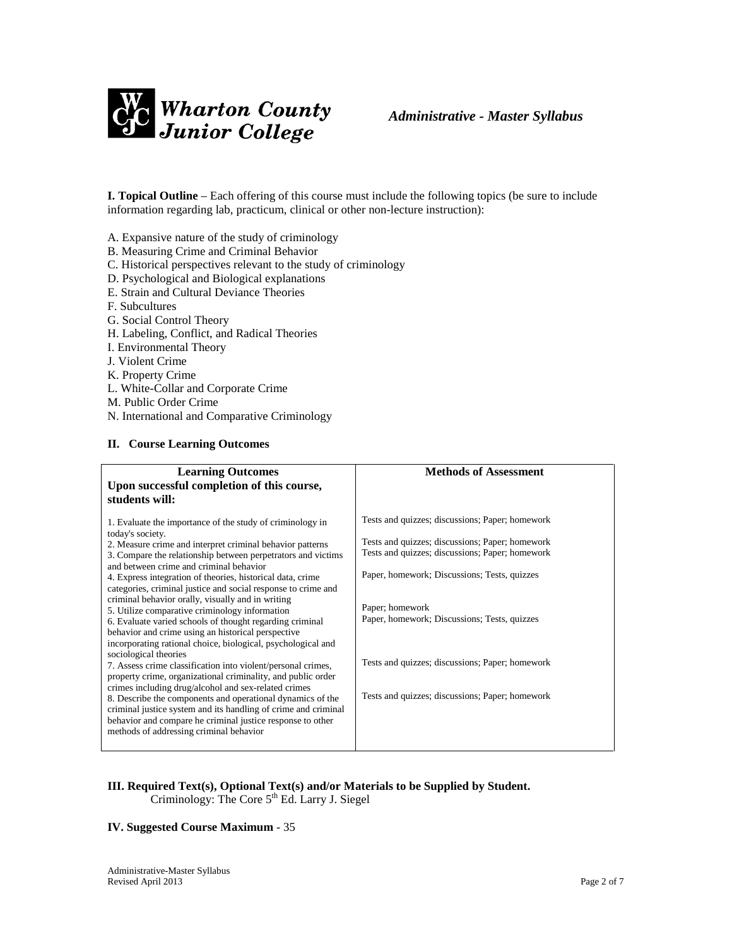

**I. Topical Outline** – Each offering of this course must include the following topics (be sure to include information regarding lab, practicum, clinical or other non-lecture instruction):

A. Expansive nature of the study of criminology

- B. Measuring Crime and Criminal Behavior
- C. Historical perspectives relevant to the study of criminology
- D. Psychological and Biological explanations
- E. Strain and Cultural Deviance Theories
- F. Subcultures
- G. Social Control Theory
- H. Labeling, Conflict, and Radical Theories
- I. Environmental Theory
- J. Violent Crime
- K. Property Crime
- L. White-Collar and Corporate Crime
- M. Public Order Crime
- N. International and Comparative Criminology

#### **II. Course Learning Outcomes**

| <b>Learning Outcomes</b><br>Upon successful completion of this course,<br>students will:                                                                                                                                                                                                                                                                                                                                                                                                                                                                                                                                                                                                                                                                                                                                                                                                                                                                                                                                                                                                                                                | <b>Methods of Assessment</b>                                                                                                                                                                                                                                                                                                                                                   |
|-----------------------------------------------------------------------------------------------------------------------------------------------------------------------------------------------------------------------------------------------------------------------------------------------------------------------------------------------------------------------------------------------------------------------------------------------------------------------------------------------------------------------------------------------------------------------------------------------------------------------------------------------------------------------------------------------------------------------------------------------------------------------------------------------------------------------------------------------------------------------------------------------------------------------------------------------------------------------------------------------------------------------------------------------------------------------------------------------------------------------------------------|--------------------------------------------------------------------------------------------------------------------------------------------------------------------------------------------------------------------------------------------------------------------------------------------------------------------------------------------------------------------------------|
| 1. Evaluate the importance of the study of criminology in<br>today's society.<br>2. Measure crime and interpret criminal behavior patterns<br>3. Compare the relationship between perpetrators and victims<br>and between crime and criminal behavior<br>4. Express integration of theories, historical data, crime<br>categories, criminal justice and social response to crime and<br>criminal behavior orally, visually and in writing<br>5. Utilize comparative criminology information<br>6. Evaluate varied schools of thought regarding criminal<br>behavior and crime using an historical perspective<br>incorporating rational choice, biological, psychological and<br>sociological theories<br>7. Assess crime classification into violent/personal crimes,<br>property crime, organizational criminality, and public order<br>crimes including drug/alcohol and sex-related crimes<br>8. Describe the components and operational dynamics of the<br>criminal justice system and its handling of crime and criminal<br>behavior and compare he criminal justice response to other<br>methods of addressing criminal behavior | Tests and quizzes; discussions; Paper; homework<br>Tests and quizzes; discussions; Paper; homework<br>Tests and quizzes; discussions; Paper; homework<br>Paper, homework; Discussions; Tests, quizzes<br>Paper; homework<br>Paper, homework; Discussions; Tests, quizzes<br>Tests and quizzes; discussions; Paper; homework<br>Tests and quizzes; discussions; Paper; homework |

#### **III. Required Text(s), Optional Text(s) and/or Materials to be Supplied by Student.** Criminology: The Core  $5<sup>th</sup>$  Ed. Larry J. Siegel

#### **IV. Suggested Course Maximum** - 35

Administrative-Master Syllabus Revised April 2013 Page 2 of 7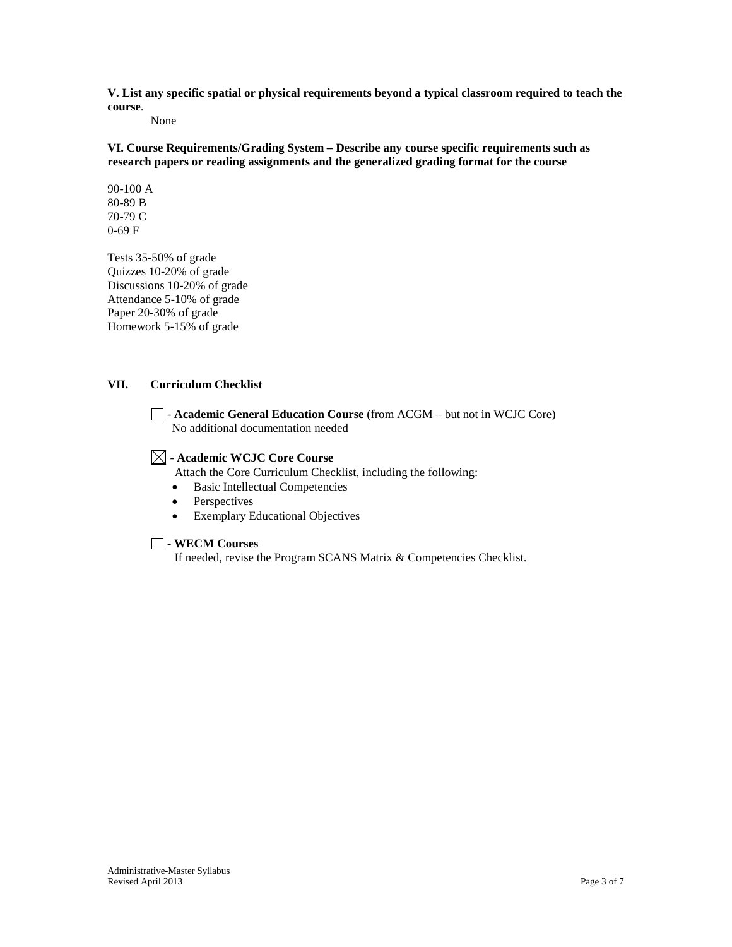**V. List any specific spatial or physical requirements beyond a typical classroom required to teach the course**.

None

**VI. Course Requirements/Grading System – Describe any course specific requirements such as research papers or reading assignments and the generalized grading format for the course**

90-100 A 80-89 B 70-79 C 0-69 F

Tests 35-50% of grade Quizzes 10-20% of grade Discussions 10-20% of grade Attendance 5-10% of grade Paper 20-30% of grade Homework 5-15% of grade

#### **VII. Curriculum Checklist**

- **Academic General Education Course** (from ACGM – but not in WCJC Core) No additional documentation needed

### - **Academic WCJC Core Course**

Attach the Core Curriculum Checklist, including the following:

- Basic Intellectual Competencies
- **Perspectives**
- Exemplary Educational Objectives

#### - **WECM Courses**

If needed, revise the Program SCANS Matrix & Competencies Checklist.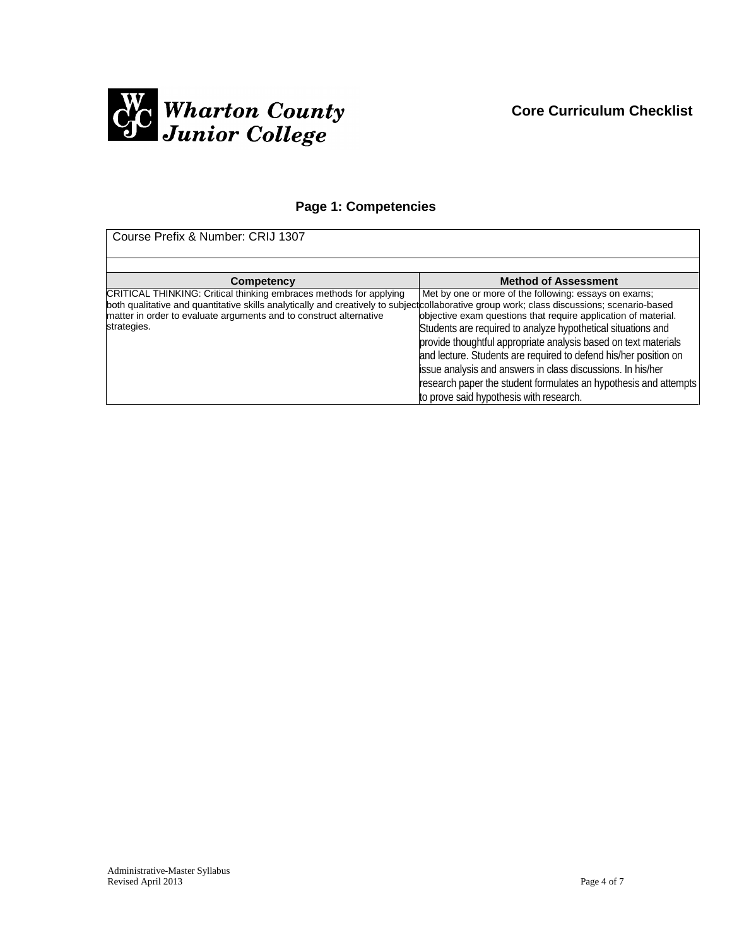

## **Page 1: Competencies**

Course Prefix & Number: CRIJ 1307

| <b>Competency</b>                                                                                                                                                                                                                                                                                      | <b>Method of Assessment</b>                                                                                                                                                                                                                                                                                                                                                                                                                                                                                  |
|--------------------------------------------------------------------------------------------------------------------------------------------------------------------------------------------------------------------------------------------------------------------------------------------------------|--------------------------------------------------------------------------------------------------------------------------------------------------------------------------------------------------------------------------------------------------------------------------------------------------------------------------------------------------------------------------------------------------------------------------------------------------------------------------------------------------------------|
| CRITICAL THINKING: Critical thinking embraces methods for applying<br>both qualitative and quantitative skills analytically and creatively to subject collaborative group work; class discussions; scenario-based<br>matter in order to evaluate arguments and to construct alternative<br>strategies. | Met by one or more of the following: essays on exams;<br>objective exam questions that require application of material.<br>Students are required to analyze hypothetical situations and<br>provide thoughtful appropriate analysis based on text materials<br>and lecture. Students are required to defend his/her position on<br>issue analysis and answers in class discussions. In his/her<br>research paper the student formulates an hypothesis and attempts<br>to prove said hypothesis with research. |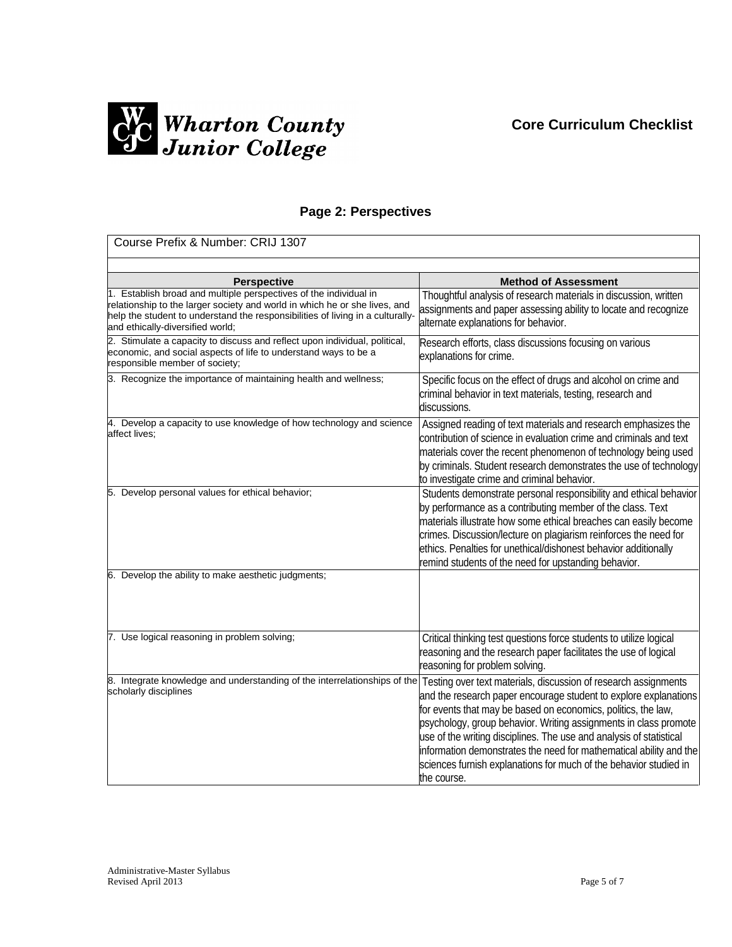# **Core Curriculum Checklist**



### **Page 2: Perspectives**

| Course Prefix & Number: CRIJ 1307                                                                                                                                                                                                                                     |                                                                                                                                                                                                                                                                                                                                                                                                                                                                                                           |
|-----------------------------------------------------------------------------------------------------------------------------------------------------------------------------------------------------------------------------------------------------------------------|-----------------------------------------------------------------------------------------------------------------------------------------------------------------------------------------------------------------------------------------------------------------------------------------------------------------------------------------------------------------------------------------------------------------------------------------------------------------------------------------------------------|
|                                                                                                                                                                                                                                                                       |                                                                                                                                                                                                                                                                                                                                                                                                                                                                                                           |
| <b>Perspective</b>                                                                                                                                                                                                                                                    | <b>Method of Assessment</b>                                                                                                                                                                                                                                                                                                                                                                                                                                                                               |
| 1. Establish broad and multiple perspectives of the individual in<br>relationship to the larger society and world in which he or she lives, and<br>help the student to understand the responsibilities of living in a culturally-<br>and ethically-diversified world; | Thoughtful analysis of research materials in discussion, written<br>assignments and paper assessing ability to locate and recognize<br>alternate explanations for behavior.                                                                                                                                                                                                                                                                                                                               |
| 2. Stimulate a capacity to discuss and reflect upon individual, political,<br>economic, and social aspects of life to understand ways to be a<br>responsible member of society;                                                                                       | Research efforts, class discussions focusing on various<br>explanations for crime.                                                                                                                                                                                                                                                                                                                                                                                                                        |
| 3. Recognize the importance of maintaining health and wellness;                                                                                                                                                                                                       | Specific focus on the effect of drugs and alcohol on crime and<br>criminal behavior in text materials, testing, research and<br>discussions.                                                                                                                                                                                                                                                                                                                                                              |
| 4. Develop a capacity to use knowledge of how technology and science<br>affect lives;                                                                                                                                                                                 | Assigned reading of text materials and research emphasizes the<br>contribution of science in evaluation crime and criminals and text<br>materials cover the recent phenomenon of technology being used<br>by criminals. Student research demonstrates the use of technology<br>to investigate crime and criminal behavior.                                                                                                                                                                                |
| 5. Develop personal values for ethical behavior;                                                                                                                                                                                                                      | Students demonstrate personal responsibility and ethical behavior<br>by performance as a contributing member of the class. Text<br>materials illustrate how some ethical breaches can easily become<br>crimes. Discussion/lecture on plagiarism reinforces the need for<br>ethics. Penalties for unethical/dishonest behavior additionally<br>remind students of the need for upstanding behavior.                                                                                                        |
| 6. Develop the ability to make aesthetic judgments;                                                                                                                                                                                                                   |                                                                                                                                                                                                                                                                                                                                                                                                                                                                                                           |
| 7. Use logical reasoning in problem solving;                                                                                                                                                                                                                          | Critical thinking test questions force students to utilize logical<br>reasoning and the research paper facilitates the use of logical<br>reasoning for problem solving.                                                                                                                                                                                                                                                                                                                                   |
| 8. Integrate knowledge and understanding of the interrelationships of the<br>scholarly disciplines                                                                                                                                                                    | Testing over text materials, discussion of research assignments<br>and the research paper encourage student to explore explanations<br>for events that may be based on economics, politics, the law,<br>psychology, group behavior. Writing assignments in class promote<br>use of the writing disciplines. The use and analysis of statistical<br>information demonstrates the need for mathematical ability and the<br>sciences furnish explanations for much of the behavior studied in<br>the course. |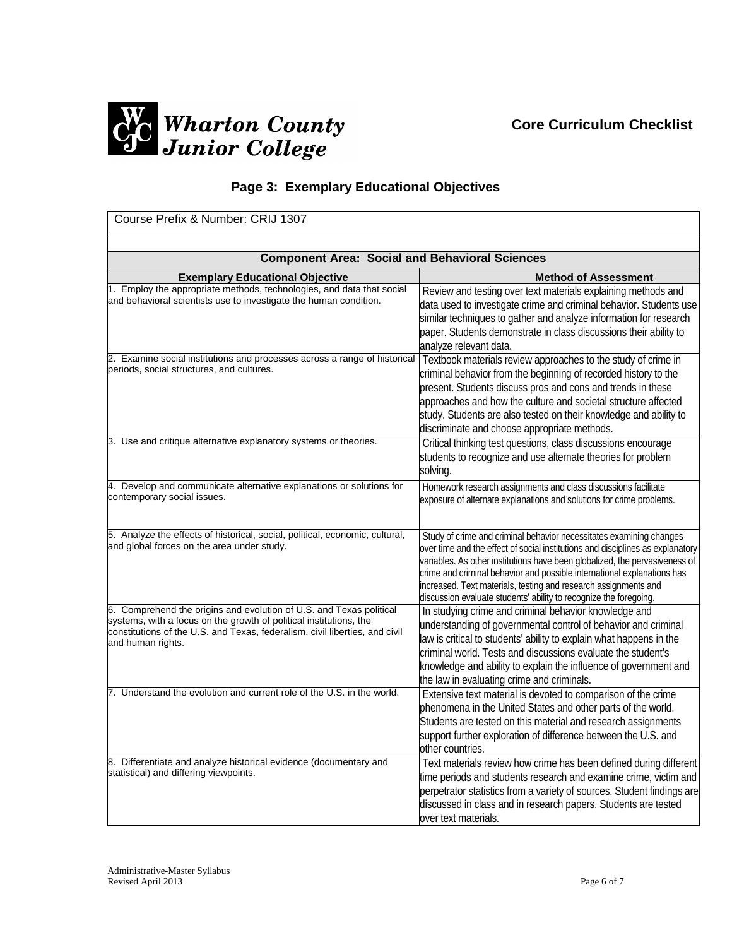# **Core Curriculum Checklist**



# **Page 3: Exemplary Educational Objectives**

| Course Prefix & Number: CRIJ 1307                                                                                                                                                                                                             |                                                                                                                                                                                                                                                                                                                                                                                                                                                        |  |
|-----------------------------------------------------------------------------------------------------------------------------------------------------------------------------------------------------------------------------------------------|--------------------------------------------------------------------------------------------------------------------------------------------------------------------------------------------------------------------------------------------------------------------------------------------------------------------------------------------------------------------------------------------------------------------------------------------------------|--|
| <b>Component Area: Social and Behavioral Sciences</b>                                                                                                                                                                                         |                                                                                                                                                                                                                                                                                                                                                                                                                                                        |  |
| <b>Exemplary Educational Objective</b>                                                                                                                                                                                                        | <b>Method of Assessment</b>                                                                                                                                                                                                                                                                                                                                                                                                                            |  |
| 1. Employ the appropriate methods, technologies, and data that social<br>and behavioral scientists use to investigate the human condition.                                                                                                    | Review and testing over text materials explaining methods and<br>data used to investigate crime and criminal behavior. Students use<br>similar techniques to gather and analyze information for research<br>paper. Students demonstrate in class discussions their ability to<br>analyze relevant data.                                                                                                                                                |  |
| 2. Examine social institutions and processes across a range of historical<br>periods, social structures, and cultures.                                                                                                                        | Textbook materials review approaches to the study of crime in<br>criminal behavior from the beginning of recorded history to the<br>present. Students discuss pros and cons and trends in these<br>approaches and how the culture and societal structure affected<br>study. Students are also tested on their knowledge and ability to<br>discriminate and choose appropriate methods.                                                                 |  |
| 3. Use and critique alternative explanatory systems or theories.                                                                                                                                                                              | Critical thinking test questions, class discussions encourage<br>students to recognize and use alternate theories for problem<br>solving.                                                                                                                                                                                                                                                                                                              |  |
| 4. Develop and communicate alternative explanations or solutions for<br>contemporary social issues.                                                                                                                                           | Homework research assignments and class discussions facilitate<br>exposure of alternate explanations and solutions for crime problems.                                                                                                                                                                                                                                                                                                                 |  |
| 5. Analyze the effects of historical, social, political, economic, cultural,<br>and global forces on the area under study.                                                                                                                    | Study of crime and criminal behavior necessitates examining changes<br>over time and the effect of social institutions and disciplines as explanatory<br>variables. As other institutions have been globalized, the pervasiveness of<br>crime and criminal behavior and possible international explanations has<br>increased. Text materials, testing and research assignments and<br>discussion evaluate students' ability to recognize the foregoing |  |
| 6. Comprehend the origins and evolution of U.S. and Texas political<br>systems, with a focus on the growth of political institutions, the<br>constitutions of the U.S. and Texas, federalism, civil liberties, and civil<br>and human rights. | In studying crime and criminal behavior knowledge and<br>understanding of governmental control of behavior and criminal<br>law is critical to students' ability to explain what happens in the<br>criminal world. Tests and discussions evaluate the student's<br>knowledge and ability to explain the influence of government and<br>the law in evaluating crime and criminals.                                                                       |  |
| 7. Understand the evolution and current role of the U.S. in the world.                                                                                                                                                                        | Extensive text material is devoted to comparison of the crime<br>phenomena in the United States and other parts of the world.<br>Students are tested on this material and research assignments<br>support further exploration of difference between the U.S. and<br>other countries.                                                                                                                                                                   |  |
| 8. Differentiate and analyze historical evidence (documentary and<br>statistical) and differing viewpoints.                                                                                                                                   | Text materials review how crime has been defined during different<br>time periods and students research and examine crime, victim and<br>perpetrator statistics from a variety of sources. Student findings are<br>discussed in class and in research papers. Students are tested<br>over text materials.                                                                                                                                              |  |